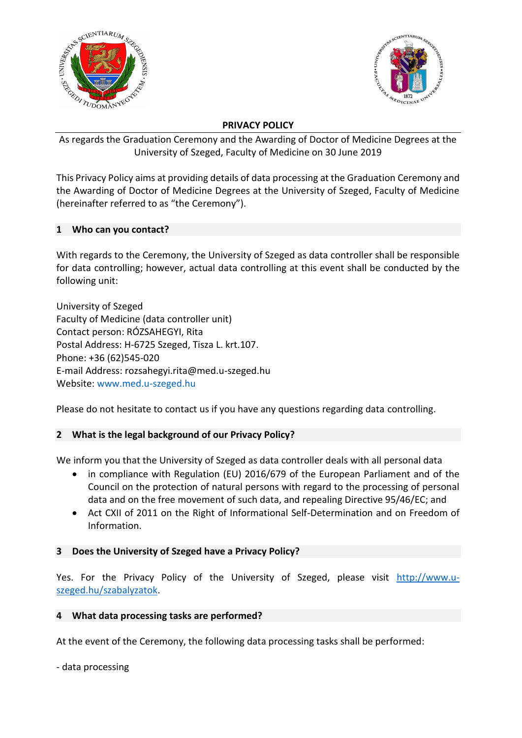



### **PRIVACY POLICY**

As regards the Graduation Ceremony and the Awarding of Doctor of Medicine Degrees at the University of Szeged, Faculty of Medicine on 30 June 2019

This Privacy Policy aims at providing details of data processing at the Graduation Ceremony and the Awarding of Doctor of Medicine Degrees at the University of Szeged, Faculty of Medicine (hereinafter referred to as "the Ceremony").

# **1 Who can you contact?**

With regards to the Ceremony, the University of Szeged as data controller shall be responsible for data controlling; however, actual data controlling at this event shall be conducted by the following unit:

University of Szeged Faculty of Medicine (data controller unit) Contact person: RÓZSAHEGYI, Rita Postal Address: H-6725 Szeged, Tisza L. krt.107. Phone: +36 (62)545-020 E-mail Address: rozsahegyi.rita@med.u-szeged.hu Website: [www.med.u-szeged.hu](http://www.med.u-szeged.hu/)

Please do not hesitate to contact us if you have any questions regarding data controlling.

# **2 What is the legal background of our Privacy Policy?**

We inform you that the University of Szeged as data controller deals with all personal data

- in compliance with Regulation (EU) 2016/679 of the European Parliament and of the Council on the protection of natural persons with regard to the processing of personal data and on the free movement of such data, and repealing Directive 95/46/EC; and
- Act CXII of 2011 on the Right of Informational Self-Determination and on Freedom of Information.

# **3 Does the University of Szeged have a Privacy Policy?**

Yes. For the Privacy Policy of the University of Szeged, please visit http://www.uszeged.hu/szabalyzatok.

### **4 What data processing tasks are performed?**

At the event of the Ceremony, the following data processing tasks shall be performed:

- data processing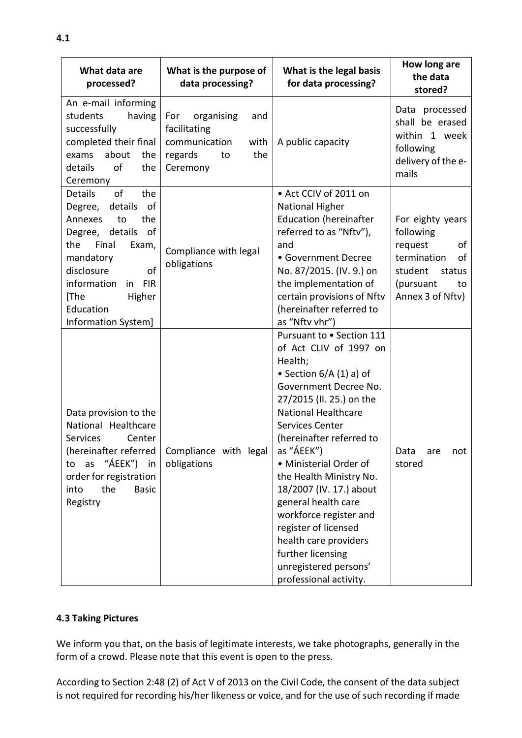| What data are<br>processed?                                                                                                                                                                                                                    | What is the purpose of<br>data processing?                                                            | What is the legal basis<br>for data processing?                                                                                                                                                                                                                                                                                                                                                                                                                                                             | How long are<br>the data<br>stored?                                                                                             |
|------------------------------------------------------------------------------------------------------------------------------------------------------------------------------------------------------------------------------------------------|-------------------------------------------------------------------------------------------------------|-------------------------------------------------------------------------------------------------------------------------------------------------------------------------------------------------------------------------------------------------------------------------------------------------------------------------------------------------------------------------------------------------------------------------------------------------------------------------------------------------------------|---------------------------------------------------------------------------------------------------------------------------------|
| An e-mail informing<br>students<br>having<br>successfully<br>completed their final<br>about<br>exams<br>the<br>of<br>details<br>the<br>Ceremony                                                                                                | organising<br>For<br>and<br>facilitating<br>communication<br>with<br>regards<br>the<br>to<br>Ceremony | A public capacity                                                                                                                                                                                                                                                                                                                                                                                                                                                                                           | Data processed<br>shall be erased<br>within 1 week<br>following<br>delivery of the e-<br>mails                                  |
| of<br><b>Details</b><br>the<br>Degree, details<br>of<br>Annexes<br>to<br>the<br>Degree, details<br>of<br>the<br>Final<br>Exam,<br>mandatory<br>disclosure<br>of<br>information<br>in FIR<br>[The<br>Higher<br>Education<br>Information System] | Compliance with legal<br>obligations                                                                  | • Act CCIV of 2011 on<br><b>National Higher</b><br><b>Education (hereinafter</b><br>referred to as "Nftv"),<br>and<br>• Government Decree<br>No. 87/2015. (IV. 9.) on<br>the implementation of<br>certain provisions of Nftv<br>(hereinafter referred to<br>as "Nftv vhr")                                                                                                                                                                                                                                  | For eighty years<br>following<br>request<br>of<br>termination<br>of<br>student<br>status<br>(pursuant<br>to<br>Annex 3 of Nftv) |
| Data provision to the<br>National Healthcare<br><b>Services</b><br>Center<br>" $AEEK$ ")<br>as<br>in<br>to<br>order for registration<br>the<br><b>Basic</b><br>into<br>Registry                                                                | (hereinafter referred   Compliance with legal  <br>obligations                                        | Pursuant to . Section 111<br>of Act CLIV of 1997 on<br>Health;<br>• Section $6/A(1)$ a) of<br>Government Decree No.<br>27/2015 (II. 25.) on the<br><b>National Healthcare</b><br><b>Services Center</b><br>(hereinafter referred to<br>as "ÁEEK")<br>• Ministerial Order of<br>the Health Ministry No.<br>18/2007 (IV. 17.) about<br>general health care<br>workforce register and<br>register of licensed<br>health care providers<br>further licensing<br>unregistered persons'<br>professional activity. | Data<br>are<br>not<br>stored                                                                                                    |

### **4.3 Taking Pictures**

We inform you that, on the basis of legitimate interests, we take photographs, generally in the form of a crowd. Please note that this event is open to the press.

According to Section 2:48 (2) of Act V of 2013 on the Civil Code, the consent of the data subject is not required for recording his/her likeness or voice, and for the use of such recording if made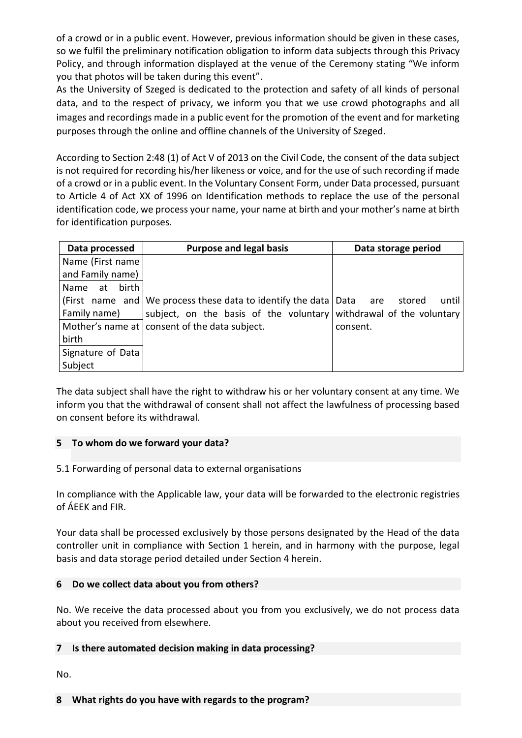of a crowd or in a public event. However, previous information should be given in these cases, so we fulfil the preliminary notification obligation to inform data subjects through this Privacy Policy, and through information displayed at the venue of the Ceremony stating "We inform you that photos will be taken during this event".

As the University of Szeged is dedicated to the protection and safety of all kinds of personal data, and to the respect of privacy, we inform you that we use crowd photographs and all images and recordings made in a public event for the promotion of the event and for marketing purposes through the online and offline channels of the University of Szeged.

According to Section 2:48 (1) of Act V of 2013 on the Civil Code, the consent of the data subject is not required for recording his/her likeness or voice, and for the use of such recording if made of a crowd or in a public event. In the Voluntary Consent Form, under Data processed, pursuant to Article 4 of Act XX of 1996 on Identification methods to replace the use of the personal identification code, we process your name, your name at birth and your mother's name at birth for identification purposes.

| Data processed      | <b>Purpose and legal basis</b>                                                            | Data storage period |  |
|---------------------|-------------------------------------------------------------------------------------------|---------------------|--|
| Name (First name    |                                                                                           |                     |  |
| and Family name)    |                                                                                           |                     |  |
| birth<br>at<br>Name |                                                                                           |                     |  |
|                     | (First name and $\sqrt{ }$ We process these data to identify the data $\sqrt{ }$ Data are | until<br>stored     |  |
| Family name)        | subject, on the basis of the voluntary withdrawal of the voluntary                        |                     |  |
|                     | Mother's name at consent of the data subject.                                             | consent.            |  |
| birth               |                                                                                           |                     |  |
| Signature of Data   |                                                                                           |                     |  |
| Subject             |                                                                                           |                     |  |

The data subject shall have the right to withdraw his or her voluntary consent at any time. We inform you that the withdrawal of consent shall not affect the lawfulness of processing based on consent before its withdrawal.

# **5 To whom do we forward your data?**

### 5.1 Forwarding of personal data to external organisations

In compliance with the Applicable law, your data will be forwarded to the electronic registries of ÁEEK and FIR.

Your data shall be processed exclusively by those persons designated by the Head of the data controller unit in compliance with Section 1 herein, and in harmony with the purpose, legal basis and data storage period detailed under Section 4 herein.

### **6 Do we collect data about you from others?**

No. We receive the data processed about you from you exclusively, we do not process data about you received from elsewhere.

### **7 Is there automated decision making in data processing?**

No.

#### **8 What rights do you have with regards to the program?**